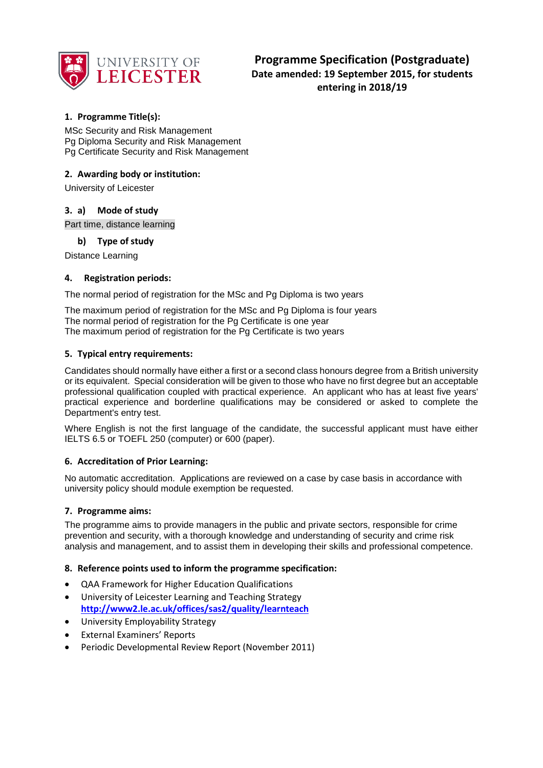

# **1. Programme Title(s):**

MSc Security and Risk Management Pg Diploma Security and Risk Management Pg Certificate Security and Risk Management

## **2. Awarding body or institution:**

University of Leicester

### **3. a) Mode of study**

Part time, distance learning

### **b) Type of study**

Distance Learning

### **4. Registration periods:**

The normal period of registration for the MSc and Pg Diploma is two years

The maximum period of registration for the MSc and Pg Diploma is four years The normal period of registration for the Pg Certificate is one year The maximum period of registration for the Pg Certificate is two years

### **5. Typical entry requirements:**

Candidates should normally have either a first or a second class honours degree from a British university or its equivalent. Special consideration will be given to those who have no first degree but an acceptable professional qualification coupled with practical experience. An applicant who has at least five years' practical experience and borderline qualifications may be considered or asked to complete the Department's entry test.

Where English is not the first language of the candidate, the successful applicant must have either IELTS 6.5 or TOEFL 250 (computer) or 600 (paper).

### **6. Accreditation of Prior Learning:**

No automatic accreditation. Applications are reviewed on a case by case basis in accordance with university policy should module exemption be requested.

### **7. Programme aims:**

The programme aims to provide managers in the public and private sectors, responsible for crime prevention and security, with a thorough knowledge and understanding of security and crime risk analysis and management, and to assist them in developing their skills and professional competence.

### **8. Reference points used to inform the programme specification:**

- QAA Framework for Higher Education Qualifications
- University of Leicester Learning and Teaching Strategy **<http://www2.le.ac.uk/offices/sas2/quality/learnteach>**
- University Employability Strategy
- External Examiners' Reports
- Periodic Developmental Review Report (November 2011)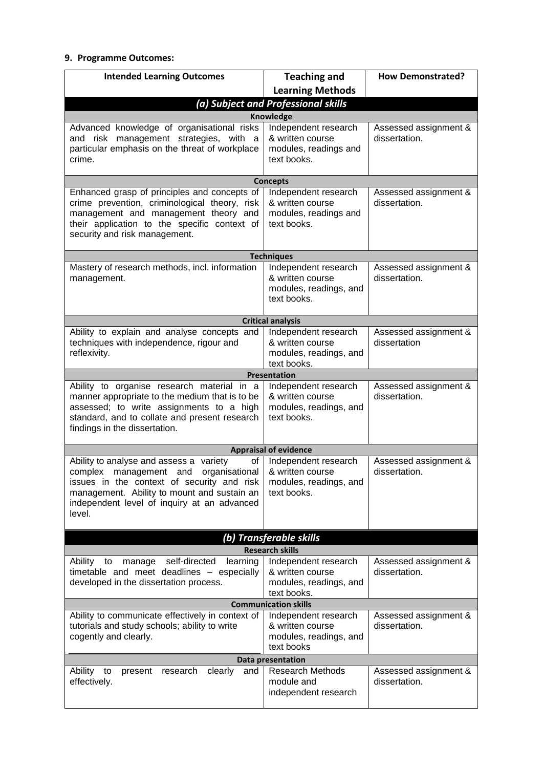## **9. Programme Outcomes:**

| <b>Intended Learning Outcomes</b>                                                                                                                                                                                                                     | <b>Teaching and</b>                                                               | <b>How Demonstrated?</b>               |  |
|-------------------------------------------------------------------------------------------------------------------------------------------------------------------------------------------------------------------------------------------------------|-----------------------------------------------------------------------------------|----------------------------------------|--|
|                                                                                                                                                                                                                                                       | <b>Learning Methods</b>                                                           |                                        |  |
| (a) Subject and Professional skills                                                                                                                                                                                                                   |                                                                                   |                                        |  |
|                                                                                                                                                                                                                                                       | <b>Knowledge</b>                                                                  |                                        |  |
| Advanced knowledge of organisational risks<br>and risk management strategies, with a<br>particular emphasis on the threat of workplace<br>crime.                                                                                                      | Independent research<br>& written course<br>modules, readings and<br>text books.  | Assessed assignment &<br>dissertation. |  |
|                                                                                                                                                                                                                                                       | <b>Concepts</b>                                                                   |                                        |  |
| Enhanced grasp of principles and concepts of<br>crime prevention, criminological theory, risk<br>management and management theory and<br>their application to the specific context of<br>security and risk management.                                | Independent research<br>& written course<br>modules, readings and<br>text books.  | Assessed assignment &<br>dissertation. |  |
|                                                                                                                                                                                                                                                       | <b>Techniques</b>                                                                 |                                        |  |
| Mastery of research methods, incl. information<br>management.                                                                                                                                                                                         | Independent research<br>& written course<br>modules, readings, and<br>text books. | Assessed assignment &<br>dissertation. |  |
|                                                                                                                                                                                                                                                       | <b>Critical analysis</b>                                                          |                                        |  |
| Ability to explain and analyse concepts and<br>techniques with independence, rigour and<br>reflexivity.                                                                                                                                               | Independent research<br>& written course<br>modules, readings, and<br>text books. | Assessed assignment &<br>dissertation  |  |
|                                                                                                                                                                                                                                                       | <b>Presentation</b>                                                               |                                        |  |
| Ability to organise research material in a<br>manner appropriate to the medium that is to be<br>assessed; to write assignments to a high<br>standard, and to collate and present research<br>findings in the dissertation.                            | Independent research<br>& written course<br>modules, readings, and<br>text books. | Assessed assignment &<br>dissertation. |  |
|                                                                                                                                                                                                                                                       | <b>Appraisal of evidence</b>                                                      |                                        |  |
| Ability to analyse and assess a<br>variety<br>of<br>complex<br>organisational<br>management and<br>issues in the context of security and risk<br>management. Ability to mount and sustain an<br>independent level of inquiry at an advanced<br>level. | Independent research<br>& written course<br>modules, readings, and<br>text books. | Assessed assignment &<br>dissertation. |  |
| (b) Transferable skills                                                                                                                                                                                                                               |                                                                                   |                                        |  |
| <b>Research skills</b>                                                                                                                                                                                                                                |                                                                                   |                                        |  |
| self-directed<br>learning<br>Ability<br>manage<br>to<br>timetable and meet deadlines - especially<br>developed in the dissertation process.                                                                                                           | Independent research<br>& written course<br>modules, readings, and<br>text books. | Assessed assignment &<br>dissertation. |  |
| <b>Communication skills</b>                                                                                                                                                                                                                           |                                                                                   |                                        |  |
| Ability to communicate effectively in context of<br>tutorials and study schools; ability to write<br>cogently and clearly.                                                                                                                            | Independent research<br>& written course<br>modules, readings, and<br>text books  | Assessed assignment &<br>dissertation. |  |
| <b>Data presentation</b>                                                                                                                                                                                                                              |                                                                                   |                                        |  |
| Ability<br>clearly<br>to<br>research<br>present<br>and<br>effectively.                                                                                                                                                                                | Research Methods<br>module and<br>independent research                            | Assessed assignment &<br>dissertation. |  |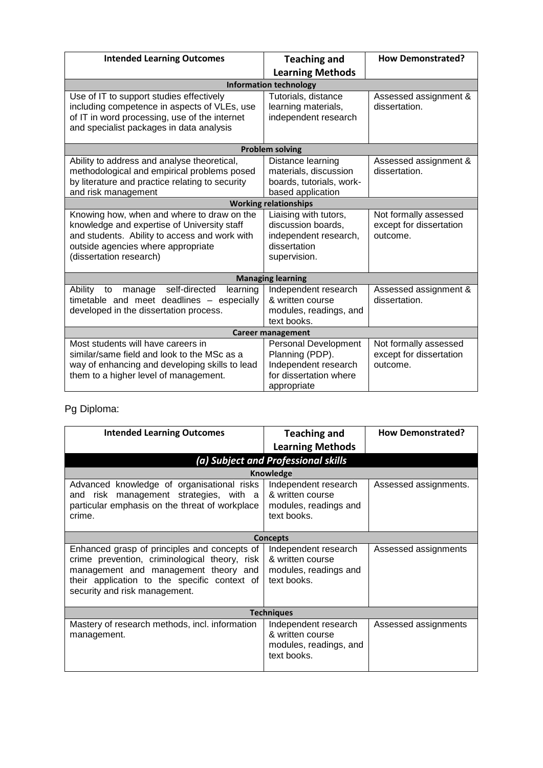| <b>Intended Learning Outcomes</b>                                                                                                                                                                           | <b>Teaching and</b>                                                                                             | <b>How Demonstrated?</b>                                     |  |
|-------------------------------------------------------------------------------------------------------------------------------------------------------------------------------------------------------------|-----------------------------------------------------------------------------------------------------------------|--------------------------------------------------------------|--|
|                                                                                                                                                                                                             | <b>Learning Methods</b>                                                                                         |                                                              |  |
|                                                                                                                                                                                                             | <b>Information technology</b>                                                                                   |                                                              |  |
| Use of IT to support studies effectively<br>including competence in aspects of VLEs, use<br>of IT in word processing, use of the internet<br>and specialist packages in data analysis                       | Tutorials, distance<br>learning materials,<br>independent research                                              | Assessed assignment &<br>dissertation.                       |  |
|                                                                                                                                                                                                             | <b>Problem solving</b>                                                                                          |                                                              |  |
| Ability to address and analyse theoretical,<br>methodological and empirical problems posed<br>by literature and practice relating to security<br>and risk management                                        | Distance learning<br>materials, discussion<br>boards, tutorials, work-<br>based application                     | Assessed assignment &<br>dissertation.                       |  |
|                                                                                                                                                                                                             | <b>Working relationships</b>                                                                                    |                                                              |  |
| Knowing how, when and where to draw on the<br>knowledge and expertise of University staff<br>and students. Ability to access and work with<br>outside agencies where appropriate<br>(dissertation research) | Liaising with tutors,<br>discussion boards,<br>independent research,<br>dissertation<br>supervision.            | Not formally assessed<br>except for dissertation<br>outcome. |  |
| <b>Managing learning</b>                                                                                                                                                                                    |                                                                                                                 |                                                              |  |
| self-directed<br>Ability<br>to<br>manage<br>learning<br>timetable and meet deadlines - especially<br>developed in the dissertation process.                                                                 | Independent research<br>& written course<br>modules, readings, and<br>text books.                               | Assessed assignment &<br>dissertation.                       |  |
| <b>Career management</b>                                                                                                                                                                                    |                                                                                                                 |                                                              |  |
| Most students will have careers in<br>similar/same field and look to the MSc as a<br>way of enhancing and developing skills to lead<br>them to a higher level of management.                                | <b>Personal Development</b><br>Planning (PDP).<br>Independent research<br>for dissertation where<br>appropriate | Not formally assessed<br>except for dissertation<br>outcome. |  |

# Pg Diploma:

| <b>Intended Learning Outcomes</b>                                                                                                                                                                                      | <b>Teaching and</b><br><b>Learning Methods</b>                                    | <b>How Demonstrated?</b> |
|------------------------------------------------------------------------------------------------------------------------------------------------------------------------------------------------------------------------|-----------------------------------------------------------------------------------|--------------------------|
|                                                                                                                                                                                                                        | (a) Subject and Professional skills                                               |                          |
|                                                                                                                                                                                                                        | <b>Knowledge</b>                                                                  |                          |
| Advanced knowledge of organisational risks<br>and risk management strategies, with a<br>particular emphasis on the threat of workplace<br>crime.                                                                       | Independent research<br>& written course<br>modules, readings and<br>text books.  | Assessed assignments.    |
|                                                                                                                                                                                                                        | <b>Concepts</b>                                                                   |                          |
| Enhanced grasp of principles and concepts of<br>crime prevention, criminological theory, risk<br>management and management theory and<br>their application to the specific context of<br>security and risk management. | Independent research<br>& written course<br>modules, readings and<br>text books.  | Assessed assignments     |
| <b>Techniques</b>                                                                                                                                                                                                      |                                                                                   |                          |
| Mastery of research methods, incl. information<br>management.                                                                                                                                                          | Independent research<br>& written course<br>modules, readings, and<br>text books. | Assessed assignments     |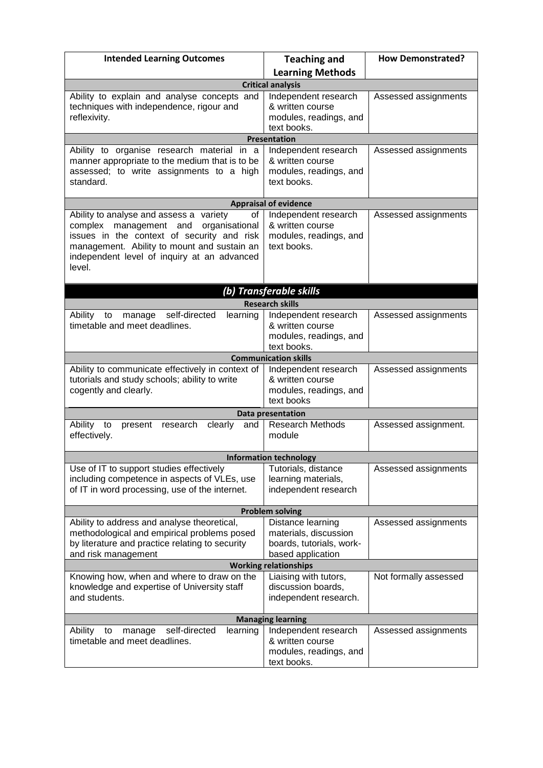| <b>Intended Learning Outcomes</b>                                                                                                                                                                                                                  | <b>Teaching and</b>                                                                         | <b>How Demonstrated?</b> |  |
|----------------------------------------------------------------------------------------------------------------------------------------------------------------------------------------------------------------------------------------------------|---------------------------------------------------------------------------------------------|--------------------------|--|
|                                                                                                                                                                                                                                                    | <b>Learning Methods</b>                                                                     |                          |  |
|                                                                                                                                                                                                                                                    | <b>Critical analysis</b>                                                                    |                          |  |
| Ability to explain and analyse concepts and<br>techniques with independence, rigour and<br>reflexivity.                                                                                                                                            | Independent research<br>& written course<br>modules, readings, and<br>text books.           | Assessed assignments     |  |
|                                                                                                                                                                                                                                                    | <b>Presentation</b>                                                                         |                          |  |
| Ability to organise research material in a<br>manner appropriate to the medium that is to be<br>assessed; to write assignments to a high<br>standard.                                                                                              | Independent research<br>& written course<br>modules, readings, and<br>text books.           | Assessed assignments     |  |
|                                                                                                                                                                                                                                                    | <b>Appraisal of evidence</b>                                                                |                          |  |
| Ability to analyse and assess a variety<br>οf<br>management and<br>organisational<br>complex<br>issues in the context of security and risk<br>management. Ability to mount and sustain an<br>independent level of inquiry at an advanced<br>level. | Independent research<br>& written course<br>modules, readings, and<br>text books.           | Assessed assignments     |  |
|                                                                                                                                                                                                                                                    | (b) Transferable skills                                                                     |                          |  |
|                                                                                                                                                                                                                                                    | <b>Research skills</b>                                                                      |                          |  |
| self-directed<br>Ability<br>learning<br>manage<br>to<br>timetable and meet deadlines.                                                                                                                                                              | Independent research<br>& written course<br>modules, readings, and<br>text books.           | Assessed assignments     |  |
|                                                                                                                                                                                                                                                    | <b>Communication skills</b>                                                                 |                          |  |
| Ability to communicate effectively in context of<br>tutorials and study schools; ability to write<br>cogently and clearly.                                                                                                                         | Independent research<br>& written course<br>modules, readings, and<br>text books            | Assessed assignments     |  |
|                                                                                                                                                                                                                                                    | <b>Data presentation</b>                                                                    |                          |  |
| research<br>clearly<br>Ability<br>to<br>present<br>and<br>effectively.                                                                                                                                                                             | Research Methods<br>module                                                                  | Assessed assignment.     |  |
|                                                                                                                                                                                                                                                    | <b>Information technology</b>                                                               |                          |  |
| Use of IT to support studies effectively<br>including competence in aspects of VLEs, use<br>of IT in word processing, use of the internet.                                                                                                         | Tutorials, distance<br>learning materials,<br>independent research                          | Assessed assignments     |  |
| <b>Problem solving</b>                                                                                                                                                                                                                             |                                                                                             |                          |  |
| Ability to address and analyse theoretical,<br>methodological and empirical problems posed<br>by literature and practice relating to security<br>and risk management                                                                               | Distance learning<br>materials, discussion<br>boards, tutorials, work-<br>based application | Assessed assignments     |  |
| <b>Working relationships</b>                                                                                                                                                                                                                       |                                                                                             |                          |  |
| Knowing how, when and where to draw on the<br>knowledge and expertise of University staff<br>and students.                                                                                                                                         | Liaising with tutors,<br>discussion boards,<br>independent research.                        | Not formally assessed    |  |
| <b>Managing learning</b>                                                                                                                                                                                                                           |                                                                                             |                          |  |
| learning<br>Ability<br>self-directed<br>to<br>manage<br>timetable and meet deadlines.                                                                                                                                                              | Independent research<br>& written course<br>modules, readings, and<br>text books.           | Assessed assignments     |  |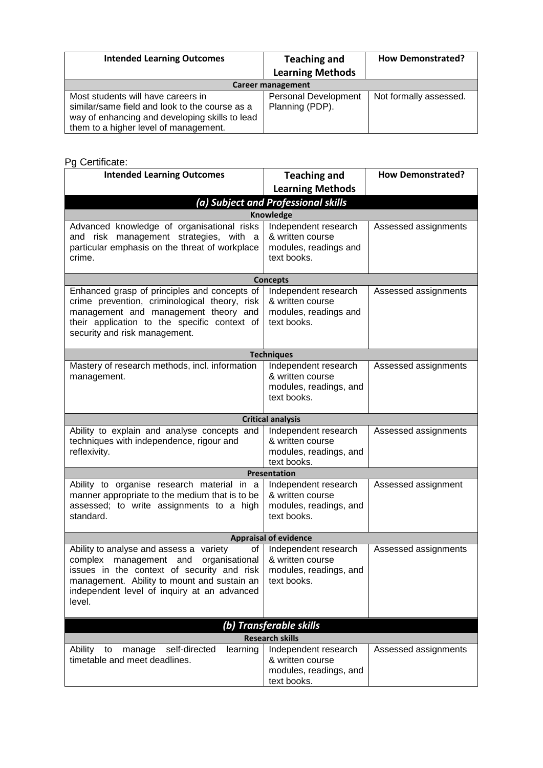| <b>Intended Learning Outcomes</b>                                                                                                                                               | <b>Teaching and</b><br><b>Learning Methods</b> | <b>How Demonstrated?</b> |  |
|---------------------------------------------------------------------------------------------------------------------------------------------------------------------------------|------------------------------------------------|--------------------------|--|
| <b>Career management</b>                                                                                                                                                        |                                                |                          |  |
| Most students will have careers in<br>similar/same field and look to the course as a<br>way of enhancing and developing skills to lead<br>them to a higher level of management. | <b>Personal Development</b><br>Planning (PDP). | Not formally assessed.   |  |

# Pg Certificate:

| <b>Intended Learning Outcomes</b>                                                                                                                                                                                                               | <b>Teaching and</b>                                                               | <b>How Demonstrated?</b> |  |
|-------------------------------------------------------------------------------------------------------------------------------------------------------------------------------------------------------------------------------------------------|-----------------------------------------------------------------------------------|--------------------------|--|
|                                                                                                                                                                                                                                                 | <b>Learning Methods</b>                                                           |                          |  |
|                                                                                                                                                                                                                                                 | (a) Subject and Professional skills                                               |                          |  |
|                                                                                                                                                                                                                                                 | <b>Knowledge</b>                                                                  |                          |  |
| Advanced knowledge of organisational risks<br>and risk management strategies, with a<br>particular emphasis on the threat of workplace<br>crime.                                                                                                | Independent research<br>& written course<br>modules, readings and<br>text books.  | Assessed assignments     |  |
|                                                                                                                                                                                                                                                 | <b>Concepts</b>                                                                   |                          |  |
| Enhanced grasp of principles and concepts of<br>crime prevention, criminological theory, risk<br>management and management theory and<br>their application to the specific context of<br>security and risk management.                          | Independent research<br>& written course<br>modules, readings and<br>text books.  | Assessed assignments     |  |
|                                                                                                                                                                                                                                                 | <b>Techniques</b>                                                                 |                          |  |
| Mastery of research methods, incl. information<br>management.                                                                                                                                                                                   | Independent research<br>& written course<br>modules, readings, and<br>text books. | Assessed assignments     |  |
|                                                                                                                                                                                                                                                 | <b>Critical analysis</b>                                                          |                          |  |
| Ability to explain and analyse concepts and<br>techniques with independence, rigour and<br>reflexivity.                                                                                                                                         | Independent research<br>& written course<br>modules, readings, and<br>text books. | Assessed assignments     |  |
|                                                                                                                                                                                                                                                 | Presentation                                                                      |                          |  |
| Ability to organise research material in a<br>manner appropriate to the medium that is to be<br>assessed; to write assignments to a high<br>standard.                                                                                           | Independent research<br>& written course<br>modules, readings, and<br>text books. | Assessed assignment      |  |
|                                                                                                                                                                                                                                                 | <b>Appraisal of evidence</b>                                                      |                          |  |
| Ability to analyse and assess a variety<br>of<br>complex management and<br>organisational<br>issues in the context of security and risk<br>management. Ability to mount and sustain an<br>independent level of inquiry at an advanced<br>level. | Independent research<br>& written course<br>modules, readings, and<br>text books. | Assessed assignments     |  |
| (b) Transferable skills                                                                                                                                                                                                                         |                                                                                   |                          |  |
| <b>Research skills</b>                                                                                                                                                                                                                          |                                                                                   |                          |  |
| Ability<br>self-directed<br>learning<br>to<br>manage<br>timetable and meet deadlines.                                                                                                                                                           | Independent research<br>& written course<br>modules, readings, and<br>text books. | Assessed assignments     |  |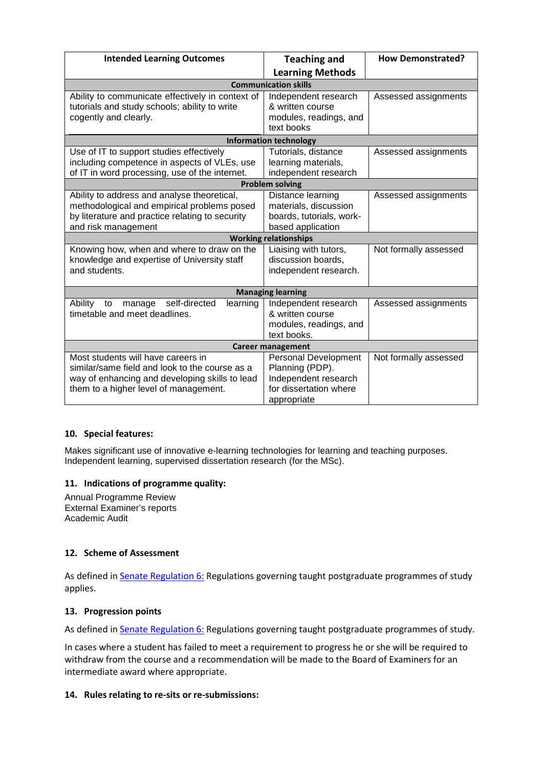| <b>Intended Learning Outcomes</b>                                                                                                                                               | <b>Teaching and</b>                                                                                             | <b>How Demonstrated?</b> |  |
|---------------------------------------------------------------------------------------------------------------------------------------------------------------------------------|-----------------------------------------------------------------------------------------------------------------|--------------------------|--|
|                                                                                                                                                                                 | <b>Learning Methods</b>                                                                                         |                          |  |
|                                                                                                                                                                                 | <b>Communication skills</b>                                                                                     |                          |  |
| Ability to communicate effectively in context of<br>tutorials and study schools; ability to write<br>cogently and clearly.                                                      | Independent research<br>& written course<br>modules, readings, and<br>text books                                | Assessed assignments     |  |
|                                                                                                                                                                                 | <b>Information technology</b>                                                                                   |                          |  |
| Use of IT to support studies effectively<br>including competence in aspects of VLEs, use<br>of IT in word processing, use of the internet.                                      | Tutorials, distance<br>learning materials,<br>independent research                                              | Assessed assignments     |  |
|                                                                                                                                                                                 | <b>Problem solving</b>                                                                                          |                          |  |
| Ability to address and analyse theoretical,<br>methodological and empirical problems posed<br>by literature and practice relating to security<br>and risk management            | Distance learning<br>materials, discussion<br>boards, tutorials, work-<br>based application                     | Assessed assignments     |  |
|                                                                                                                                                                                 | <b>Working relationships</b>                                                                                    |                          |  |
| Knowing how, when and where to draw on the<br>knowledge and expertise of University staff<br>and students.                                                                      | Liaising with tutors,<br>discussion boards,<br>independent research.                                            | Not formally assessed    |  |
| <b>Managing learning</b>                                                                                                                                                        |                                                                                                                 |                          |  |
| Ability<br>self-directed<br>to<br>manage<br>learning<br>timetable and meet deadlines.                                                                                           | Independent research<br>& written course<br>modules, readings, and<br>text books.                               | Assessed assignments     |  |
| <b>Career management</b>                                                                                                                                                        |                                                                                                                 |                          |  |
| Most students will have careers in<br>similar/same field and look to the course as a<br>way of enhancing and developing skills to lead<br>them to a higher level of management. | <b>Personal Development</b><br>Planning (PDP).<br>Independent research<br>for dissertation where<br>appropriate | Not formally assessed    |  |

## **10. Special features:**

Makes significant use of innovative e-learning technologies for learning and teaching purposes. Independent learning, supervised dissertation research (for the MSc).

## **11. Indications of programme quality:**

Annual Programme Review External Examiner's reports Academic Audit

# **12. Scheme of Assessment**

As defined in **Senate Regulation 6:** Regulations governing taught postgraduate programmes of study applies.

## **13. Progression points**

As defined i[n Senate Regulation 6:](http://www.le.ac.uk/senate-regulation6) Regulations governing taught postgraduate programmes of study.

In cases where a student has failed to meet a requirement to progress he or she will be required to withdraw from the course and a recommendation will be made to the Board of Examiners for an intermediate award where appropriate.

## **14. Rules relating to re-sits or re-submissions:**